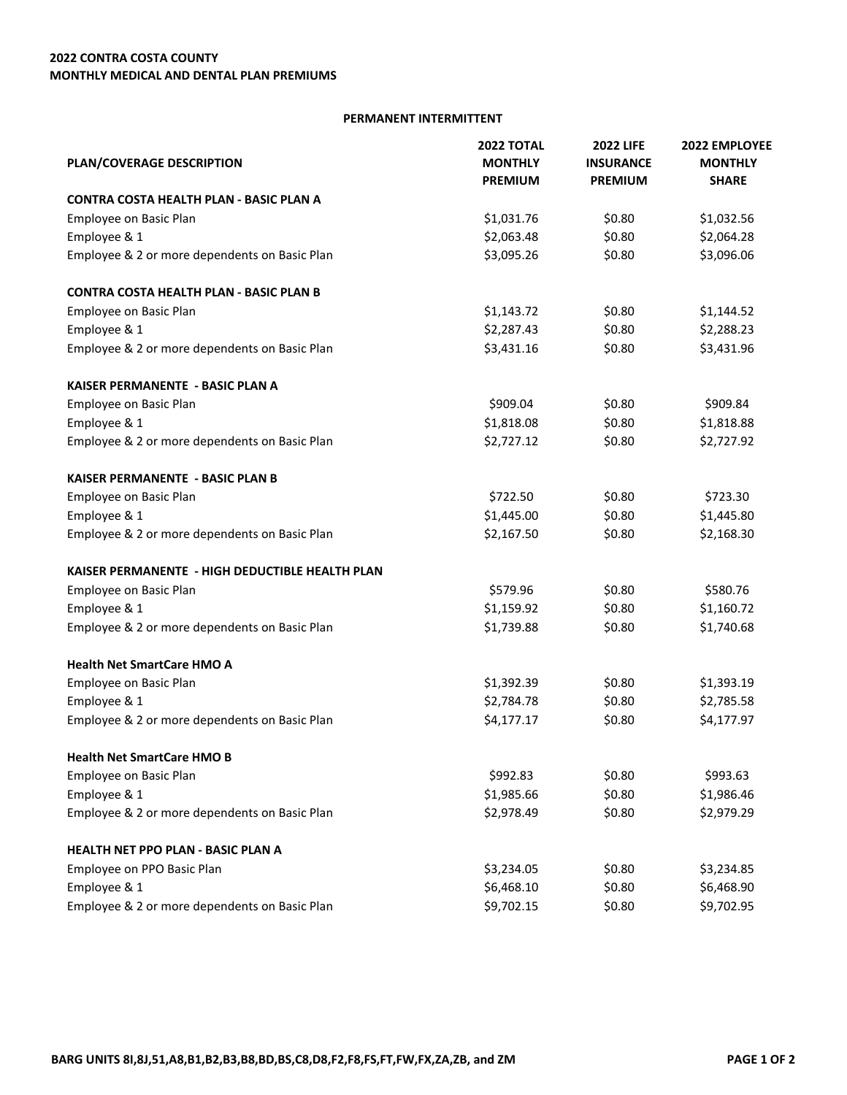## **PERMANENT INTERMITTENT**

| PLAN/COVERAGE DESCRIPTION                       | <b>2022 TOTAL</b><br><b>MONTHLY</b><br><b>PREMIUM</b> | <b>2022 LIFE</b><br><b>INSURANCE</b><br><b>PREMIUM</b> | 2022 EMPLOYEE<br><b>MONTHLY</b><br><b>SHARE</b> |                                         |            |        |            |
|-------------------------------------------------|-------------------------------------------------------|--------------------------------------------------------|-------------------------------------------------|-----------------------------------------|------------|--------|------------|
|                                                 |                                                       |                                                        |                                                 | CONTRA COSTA HEALTH PLAN - BASIC PLAN A |            |        |            |
|                                                 |                                                       |                                                        |                                                 | Employee on Basic Plan                  | \$1,031.76 | \$0.80 | \$1,032.56 |
| Employee & 1                                    | \$2,063.48                                            | \$0.80                                                 | \$2,064.28                                      |                                         |            |        |            |
| Employee & 2 or more dependents on Basic Plan   | \$3,095.26                                            | \$0.80                                                 | \$3,096.06                                      |                                         |            |        |            |
| <b>CONTRA COSTA HEALTH PLAN - BASIC PLAN B</b>  |                                                       |                                                        |                                                 |                                         |            |        |            |
| Employee on Basic Plan                          | \$1,143.72                                            | \$0.80                                                 | \$1,144.52                                      |                                         |            |        |            |
| Employee & 1                                    | \$2,287.43                                            | \$0.80                                                 | \$2,288.23                                      |                                         |            |        |            |
| Employee & 2 or more dependents on Basic Plan   | \$3,431.16                                            | \$0.80                                                 | \$3,431.96                                      |                                         |            |        |            |
| KAISER PERMANENTE - BASIC PLAN A                |                                                       |                                                        |                                                 |                                         |            |        |            |
| Employee on Basic Plan                          | \$909.04                                              | \$0.80                                                 | \$909.84                                        |                                         |            |        |            |
| Employee & 1                                    | \$1,818.08                                            | \$0.80                                                 | \$1,818.88                                      |                                         |            |        |            |
| Employee & 2 or more dependents on Basic Plan   | \$2,727.12                                            | \$0.80                                                 | \$2,727.92                                      |                                         |            |        |            |
| <b>KAISER PERMANENTE - BASIC PLAN B</b>         |                                                       |                                                        |                                                 |                                         |            |        |            |
| Employee on Basic Plan                          | \$722.50                                              | \$0.80                                                 | \$723.30                                        |                                         |            |        |            |
| Employee & 1                                    | \$1,445.00                                            | \$0.80                                                 | \$1,445.80                                      |                                         |            |        |            |
| Employee & 2 or more dependents on Basic Plan   | \$2,167.50                                            | \$0.80                                                 | \$2,168.30                                      |                                         |            |        |            |
| KAISER PERMANENTE - HIGH DEDUCTIBLE HEALTH PLAN |                                                       |                                                        |                                                 |                                         |            |        |            |
| Employee on Basic Plan                          | \$579.96                                              | \$0.80                                                 | \$580.76                                        |                                         |            |        |            |
| Employee & 1                                    | \$1,159.92                                            | \$0.80                                                 | \$1,160.72                                      |                                         |            |        |            |
| Employee & 2 or more dependents on Basic Plan   | \$1,739.88                                            | \$0.80                                                 | \$1,740.68                                      |                                         |            |        |            |
| <b>Health Net SmartCare HMO A</b>               |                                                       |                                                        |                                                 |                                         |            |        |            |
| Employee on Basic Plan                          | \$1,392.39                                            | \$0.80                                                 | \$1,393.19                                      |                                         |            |        |            |
| Employee & 1                                    | \$2,784.78                                            | \$0.80                                                 | \$2,785.58                                      |                                         |            |        |            |
| Employee & 2 or more dependents on Basic Plan   | \$4,177.17                                            | \$0.80                                                 | \$4,177.97                                      |                                         |            |        |            |
| <b>Health Net SmartCare HMO B</b>               |                                                       |                                                        |                                                 |                                         |            |        |            |
| Employee on Basic Plan                          | \$992.83                                              | \$0.80                                                 | \$993.63                                        |                                         |            |        |            |
| Employee & 1                                    | \$1,985.66                                            | \$0.80                                                 | \$1,986.46                                      |                                         |            |        |            |
| Employee & 2 or more dependents on Basic Plan   | \$2,978.49                                            | \$0.80                                                 | \$2,979.29                                      |                                         |            |        |            |
| HEALTH NET PPO PLAN - BASIC PLAN A              |                                                       |                                                        |                                                 |                                         |            |        |            |
| Employee on PPO Basic Plan                      | \$3,234.05                                            | \$0.80                                                 | \$3,234.85                                      |                                         |            |        |            |
| Employee & 1                                    | \$6,468.10                                            | \$0.80                                                 | \$6,468.90                                      |                                         |            |        |            |
| Employee & 2 or more dependents on Basic Plan   | \$9,702.15                                            | \$0.80                                                 | \$9,702.95                                      |                                         |            |        |            |